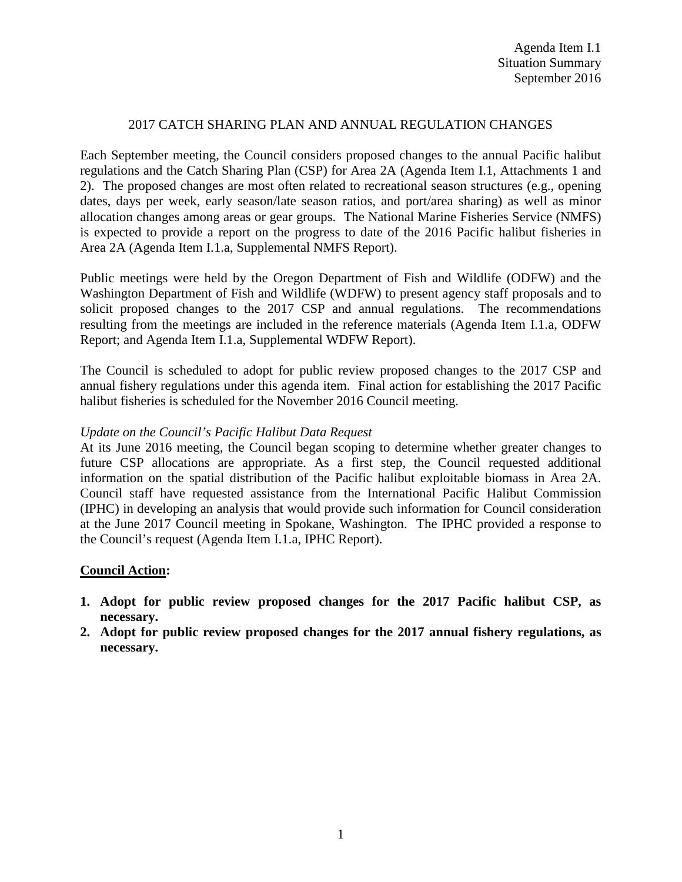## 2017 CATCH SHARING PLAN AND ANNUAL REGULATION CHANGES

Each September meeting, the Council considers proposed changes to the annual Pacific halibut regulations and the Catch Sharing Plan (CSP) for Area 2A (Agenda Item I.1, Attachments 1 and 2). The proposed changes are most often related to recreational season structures (e.g., opening dates, days per week, early season/late season ratios, and port/area sharing) as well as minor allocation changes among areas or gear groups. The National Marine Fisheries Service (NMFS) is expected to provide a report on the progress to date of the 2016 Pacific halibut fisheries in Area 2A (Agenda Item I.1.a, Supplemental NMFS Report).

Public meetings were held by the Oregon Department of Fish and Wildlife (ODFW) and the Washington Department of Fish and Wildlife (WDFW) to present agency staff proposals and to solicit proposed changes to the 2017 CSP and annual regulations. The recommendations resulting from the meetings are included in the reference materials (Agenda Item I.1.a, ODFW Report; and Agenda Item I.1.a, Supplemental WDFW Report).

The Council is scheduled to adopt for public review proposed changes to the 2017 CSP and annual fishery regulations under this agenda item. Final action for establishing the 2017 Pacific halibut fisheries is scheduled for the November 2016 Council meeting.

## *Update on the Council's Pacific Halibut Data Request*

At its June 2016 meeting, the Council began scoping to determine whether greater changes to future CSP allocations are appropriate. As a first step, the Council requested additional information on the spatial distribution of the Pacific halibut exploitable biomass in Area 2A. Council staff have requested assistance from the International Pacific Halibut Commission (IPHC) in developing an analysis that would provide such information for Council consideration at the June 2017 Council meeting in Spokane, Washington. The IPHC provided a response to the Council's request (Agenda Item I.1.a, IPHC Report).

## **Council Action:**

- **1. Adopt for public review proposed changes for the 2017 Pacific halibut CSP, as necessary.**
- **2. Adopt for public review proposed changes for the 2017 annual fishery regulations, as necessary.**